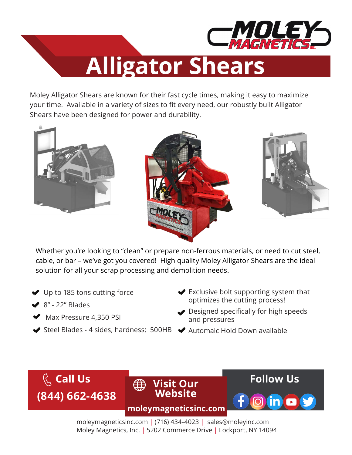

## **Alligator Shears**

Moley Alligator Shears are known for their fast cycle times, making it easy to maximize your time. Available in a variety of sizes to fit every need, our robustly built Alligator Shears have been designed for power and durability.







Whether you're looking to "clean" or prepare non-ferrous materials, or need to cut steel, cable, or bar – we've got you covered! High quality Moley Alligator Shears are the ideal solution for all your scrap processing and demolition needs.

- ◆ Up to 185 tons cutting force
- $\blacktriangleright$  8" 22" Blades
- $\blacktriangleright$  Max Pressure 4,350 PSI
- Steel Blades 4 sides, hardness: 500HB Automaic Hold Down available
- **◆** Exclusive bolt supporting system that optimizes the cutting process!
- **◆** Designed specifically for high speeds and pressures
	-



moleymagneticsinc.com | (716) 434-4023 | sales@moleyinc.com Moley Magnetics, Inc. | 5202 Commerce Drive | Lockport, NY 14094